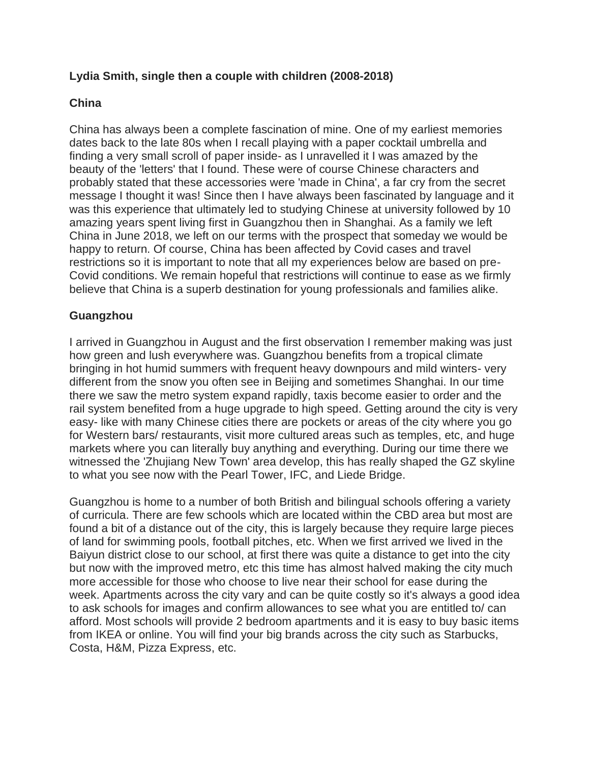## **Lydia Smith, single then a couple with children (2008-2018)**

## **China**

China has always been a complete fascination of mine. One of my earliest memories dates back to the late 80s when I recall playing with a paper cocktail umbrella and finding a very small scroll of paper inside- as I unravelled it I was amazed by the beauty of the 'letters' that I found. These were of course Chinese characters and probably stated that these accessories were 'made in China', a far cry from the secret message I thought it was! Since then I have always been fascinated by language and it was this experience that ultimately led to studying Chinese at university followed by 10 amazing years spent living first in Guangzhou then in Shanghai. As a family we left China in June 2018, we left on our terms with the prospect that someday we would be happy to return. Of course, China has been affected by Covid cases and travel restrictions so it is important to note that all my experiences below are based on pre-Covid conditions. We remain hopeful that restrictions will continue to ease as we firmly believe that China is a superb destination for young professionals and families alike.

## **Guangzhou**

I arrived in Guangzhou in August and the first observation I remember making was just how green and lush everywhere was. Guangzhou benefits from a tropical climate bringing in hot humid summers with frequent heavy downpours and mild winters- very different from the snow you often see in Beijing and sometimes Shanghai. In our time there we saw the metro system expand rapidly, taxis become easier to order and the rail system benefited from a huge upgrade to high speed. Getting around the city is very easy- like with many Chinese cities there are pockets or areas of the city where you go for Western bars/ restaurants, visit more cultured areas such as temples, etc, and huge markets where you can literally buy anything and everything. During our time there we witnessed the 'Zhujiang New Town' area develop, this has really shaped the GZ skyline to what you see now with the Pearl Tower, IFC, and Liede Bridge.

Guangzhou is home to a number of both British and bilingual schools offering a variety of curricula. There are few schools which are located within the CBD area but most are found a bit of a distance out of the city, this is largely because they require large pieces of land for swimming pools, football pitches, etc. When we first arrived we lived in the Baiyun district close to our school, at first there was quite a distance to get into the city but now with the improved metro, etc this time has almost halved making the city much more accessible for those who choose to live near their school for ease during the week. Apartments across the city vary and can be quite costly so it's always a good idea to ask schools for images and confirm allowances to see what you are entitled to/ can afford. Most schools will provide 2 bedroom apartments and it is easy to buy basic items from IKEA or online. You will find your big brands across the city such as Starbucks, Costa, H&M, Pizza Express, etc.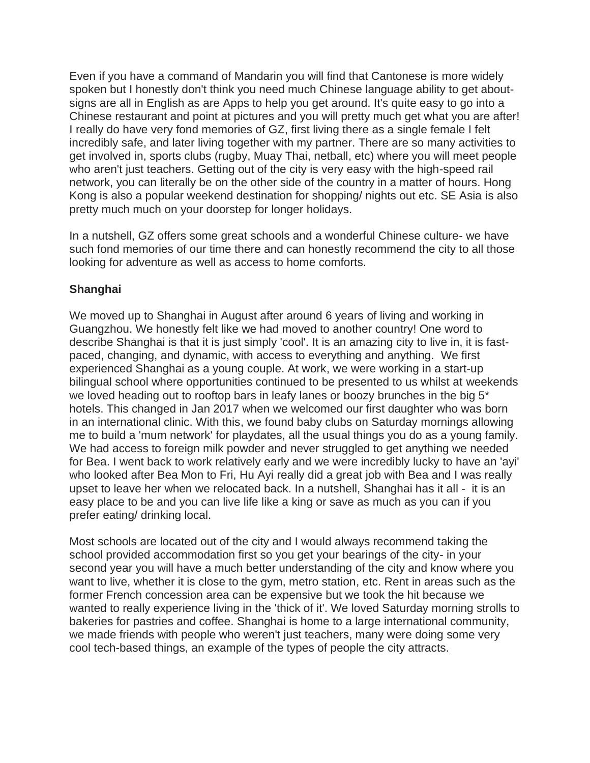Even if you have a command of Mandarin you will find that Cantonese is more widely spoken but I honestly don't think you need much Chinese language ability to get aboutsigns are all in English as are Apps to help you get around. It's quite easy to go into a Chinese restaurant and point at pictures and you will pretty much get what you are after! I really do have very fond memories of GZ, first living there as a single female I felt incredibly safe, and later living together with my partner. There are so many activities to get involved in, sports clubs (rugby, Muay Thai, netball, etc) where you will meet people who aren't just teachers. Getting out of the city is very easy with the high-speed rail network, you can literally be on the other side of the country in a matter of hours. Hong Kong is also a popular weekend destination for shopping/ nights out etc. SE Asia is also pretty much much on your doorstep for longer holidays.

In a nutshell, GZ offers some great schools and a wonderful Chinese culture- we have such fond memories of our time there and can honestly recommend the city to all those looking for adventure as well as access to home comforts.

## **Shanghai**

We moved up to Shanghai in August after around 6 years of living and working in Guangzhou. We honestly felt like we had moved to another country! One word to describe Shanghai is that it is just simply 'cool'. It is an amazing city to live in, it is fastpaced, changing, and dynamic, with access to everything and anything. We first experienced Shanghai as a young couple. At work, we were working in a start-up bilingual school where opportunities continued to be presented to us whilst at weekends we loved heading out to rooftop bars in leafy lanes or boozy brunches in the big 5<sup>\*</sup> hotels. This changed in Jan 2017 when we welcomed our first daughter who was born in an international clinic. With this, we found baby clubs on Saturday mornings allowing me to build a 'mum network' for playdates, all the usual things you do as a young family. We had access to foreign milk powder and never struggled to get anything we needed for Bea. I went back to work relatively early and we were incredibly lucky to have an 'ayi' who looked after Bea Mon to Fri, Hu Ayi really did a great job with Bea and I was really upset to leave her when we relocated back. In a nutshell, Shanghai has it all - it is an easy place to be and you can live life like a king or save as much as you can if you prefer eating/ drinking local.

Most schools are located out of the city and I would always recommend taking the school provided accommodation first so you get your bearings of the city- in your second year you will have a much better understanding of the city and know where you want to live, whether it is close to the gym, metro station, etc. Rent in areas such as the former French concession area can be expensive but we took the hit because we wanted to really experience living in the 'thick of it'. We loved Saturday morning strolls to bakeries for pastries and coffee. Shanghai is home to a large international community, we made friends with people who weren't just teachers, many were doing some very cool tech-based things, an example of the types of people the city attracts.